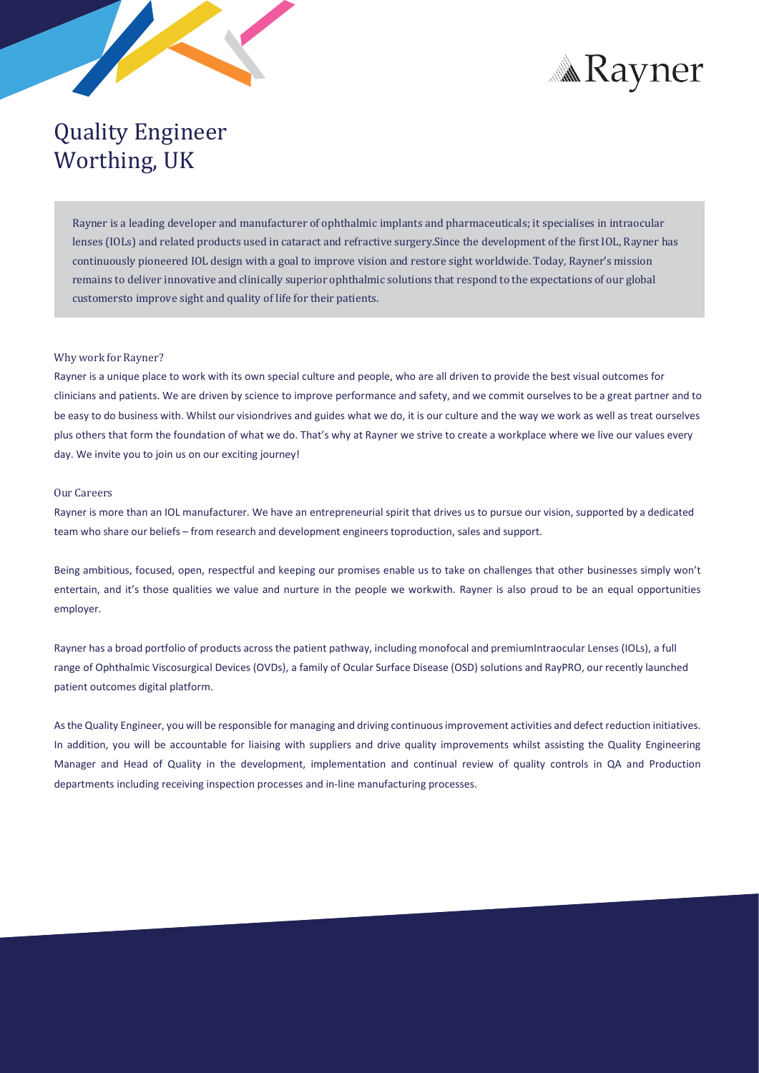



# Quality Engineer Worthing, UK

Rayner is a leading developer and manufacturer of ophthalmic implants and pharmaceuticals; it specialises in intraocular lenses (IOLs) and related products used in cataract and refractive surgery.Since the development of the first IOL, Rayner has continuously pioneered IOL design with a goal to improve vision and restore sight worldwide. Today, Rayner's mission remains to deliver innovative and clinically superior ophthalmic solutions that respond to the expectations of our global customersto improve sight and quality of life for their patients.

## Why work for Rayner?

Rayner is a unique place to work with its own special culture and people, who are all driven to provide the best visual outcomes for clinicians and patients. We are driven by science to improve performance and safety, and we commit ourselves to be a great partner and to be easy to do business with. Whilst our visiondrives and guides what we do, it is our culture and the way we work as well as treat ourselves plus others that form the foundation of what we do. That's why at Rayner we strive to create a workplace where we live our values every day. We invite you to join us on our exciting journey!

#### Our Careers

Rayner is more than an IOL manufacturer. We have an entrepreneurial spirit that drives us to pursue our vision, supported by a dedicated team who share our beliefs – from research and development engineerstoproduction, sales and support.

Being ambitious, focused, open, respectful and keeping our promises enable us to take on challenges that other businesses simply won't entertain, and it's those qualities we value and nurture in the people we workwith. Rayner is also proud to be an equal opportunities employer.

Rayner has a broad portfolio of products acrossthe patient pathway, including monofocal and premiumIntraocular Lenses (IOLs), a full range of Ophthalmic Viscosurgical Devices (OVDs), a family of Ocular Surface Disease (OSD) solutions and RayPRO, our recently launched patient outcomes digital platform.

As the Quality Engineer, you will be responsible for managing and driving continuous improvement activities and defect reduction initiatives. In addition, you will be accountable for liaising with suppliers and drive quality improvements whilst assisting the Quality Engineering Manager and Head of Quality in the development, implementation and continual review of quality controls in QA and Production departments including receiving inspection processes and in-line manufacturing processes.